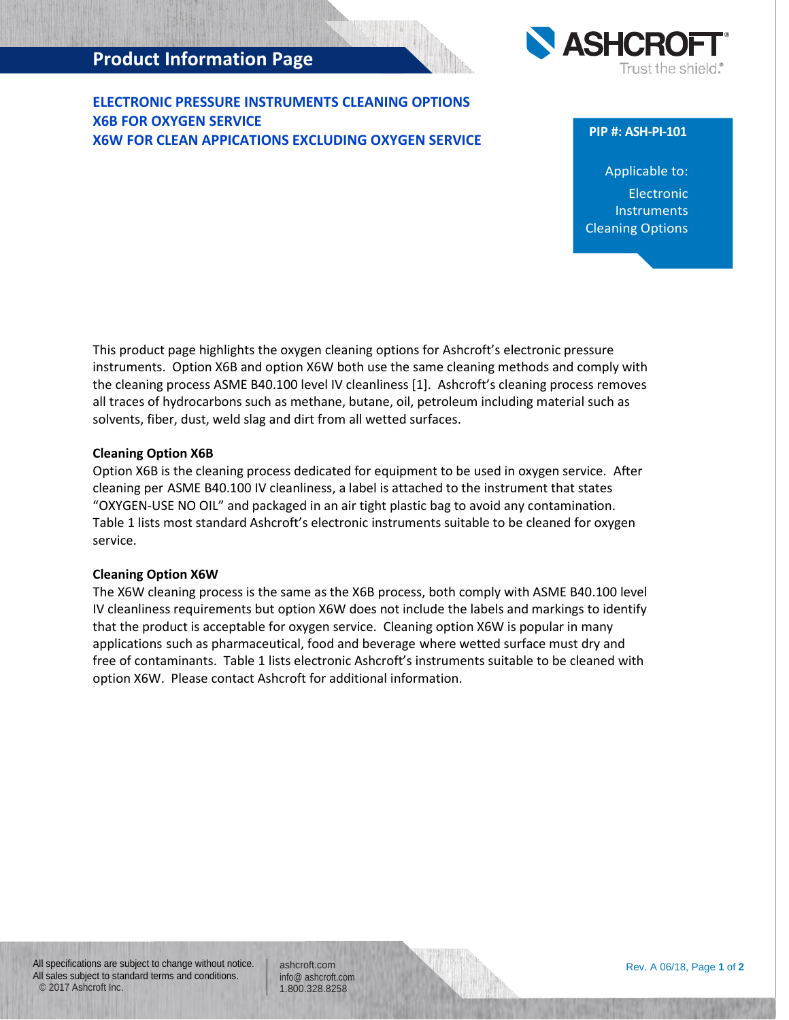# **Product Information Page**

**ELECTRONIC PRESSURE INSTRUMENTS CLEANING OPTIONS X6B FOR OXYGEN SERVICE X6W FOR CLEAN APPICATIONS EXCLUDING OXYGEN SERVICE**



### **PIP #: ASH-PI-101**

Applicable to: Electronic **Instruments** Cleaning Options

This product page highlights the oxygen cleaning options for Ashcroft's electronic pressure instruments. Option X6B and option X6W both use the same cleaning methods and comply with the cleaning process ASME B40.100 level IV cleanliness [1]. Ashcroft's cleaning process removes all traces of hydrocarbons such as methane, butane, oil, petroleum including material such as solvents, fiber, dust, weld slag and dirt from all wetted surfaces.

## **Cleaning Option X6B**

Option X6B is the cleaning process dedicated for equipment to be used in oxygen service. After cleaning per ASME B40.100 IV cleanliness, a label is attached to the instrument that states "OXYGEN-USE NO OIL" and packaged in an air tight plastic bag to avoid any contamination. Table 1 lists most standard Ashcroft's electronic instruments suitable to be cleaned for oxygen service.

#### **Cleaning Option X6W**

The X6W cleaning process is the same as the X6B process, both comply with ASME B40.100 level IV cleanliness requirements but option X6W does not include the labels and markings to identify that the product is acceptable for oxygen service. Cleaning option X6W is popular in many applications such as pharmaceutical, food and beverage where wetted surface must dry and free of contaminants. Table 1 lists electronic Ashcroft's instruments suitable to be cleaned with option X6W. Please contact Ashcroft for additional information.

ashcroft.com [info@ ashcroft.com](mailto:info@ashcroft.com) 1.800.328.8258